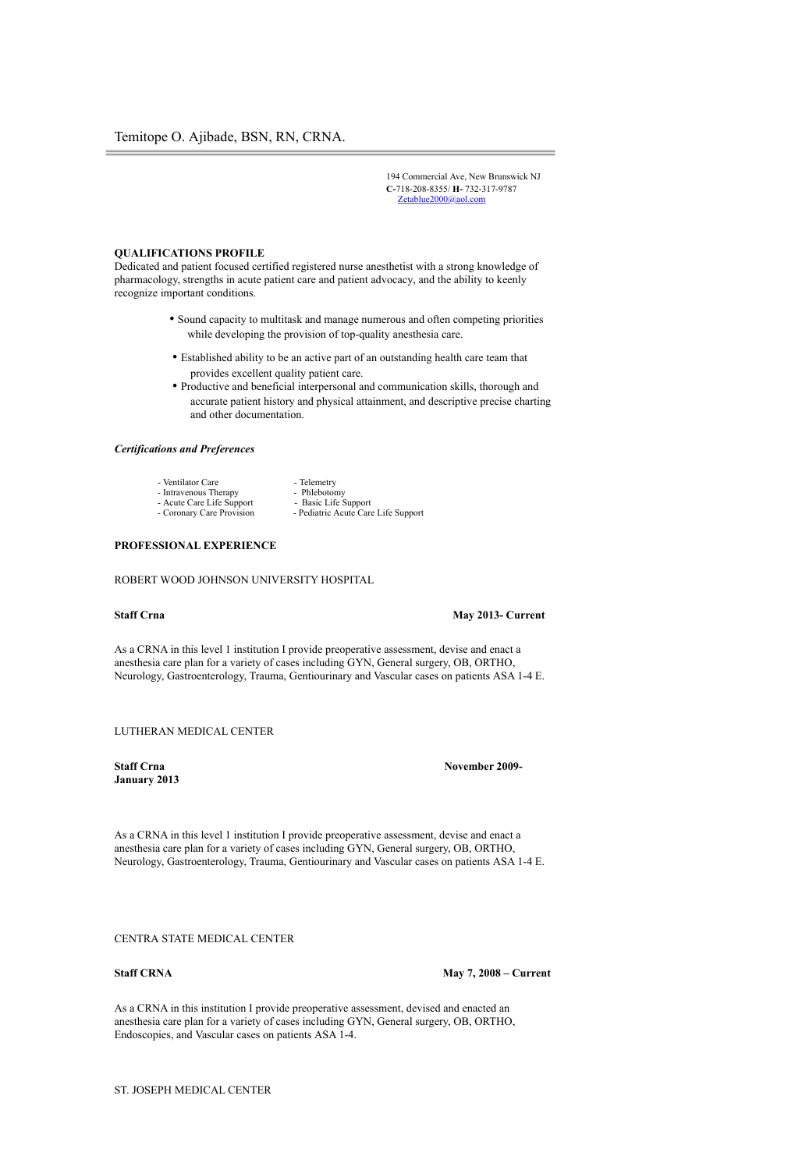194 Commercial Ave, New Brunswick NJ **C-**718-208-8355/ **H-** 732-317-9787 Zetablue2000@aol.com

### **QUALIFICATIONS PROFILE**

Dedicated and patient focused certified registered nurse anesthetist with a strong knowledge of pharmacology, strengths in acute patient care and patient advocacy, and the ability to keenly recognize important conditions.

- Sound capacity to multitask and manage numerous and often competing priorities while developing the provision of top-quality anesthesia care.
- Established ability to be an active part of an outstanding health care team that provides excellent quality patient care.
- Productive and beneficial interpersonal and communication skills, thorough and accurate patient history and physical attainment, and descriptive precise charting and other documentation.

- Pediatric Acute Care Life Support

## *Certifications and Preferences*

- Ventilator Care Telemetry
- Intravenous Therapy Phlebotomy<br>- Acute Care Life Support Basic Life Support
- Acute Care Life Support<br>- Coronary Care Provision
	-
- **PROFESSIONAL EXPERIENCE**

ROBERT WOOD JOHNSON UNIVERSITY HOSPITAL

#### **Staff Crna** May 2013- Current

As a CRNA in this level 1 institution I provide preoperative assessment, devise and enact a anesthesia care plan for a variety of cases including GYN, General surgery, OB, ORTHO, Neurology, Gastroenterology, Trauma, Gentiourinary and Vascular cases on patients ASA 1-4 E.

LUTHERAN MEDICAL CENTER

**January 2013**

**Staff Crna** November 2009-

As a CRNA in this level 1 institution I provide preoperative assessment, devise and enact a anesthesia care plan for a variety of cases including GYN, General surgery, OB, ORTHO, Neurology, Gastroenterology, Trauma, Gentiourinary and Vascular cases on patients ASA 1-4 E.

### CENTRA STATE MEDICAL CENTER

**Staff CRNA** May 7, 2008 – Current

As a CRNA in this institution I provide preoperative assessment, devised and enacted an anesthesia care plan for a variety of cases including GYN, General surgery, OB, ORTHO, Endoscopies, and Vascular cases on patients ASA 1-4.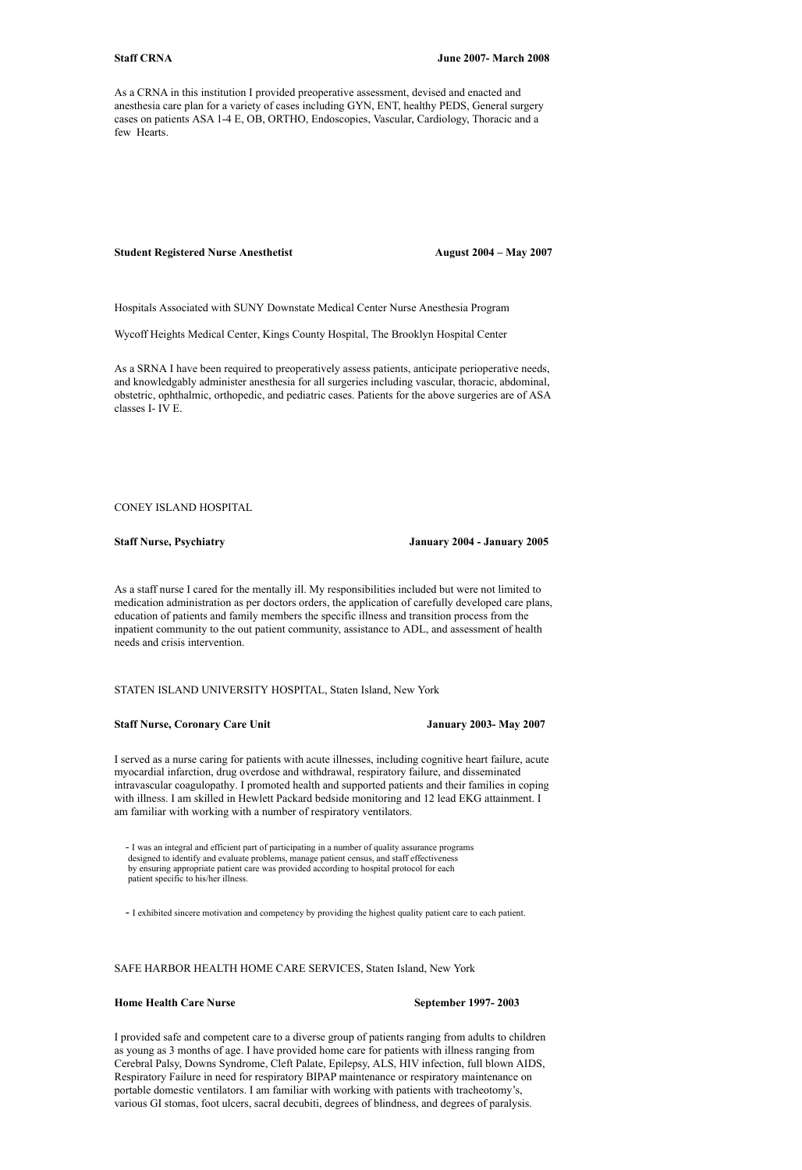As a CRNA in this institution I provided preoperative assessment, devised and enacted and anesthesia care plan for a variety of cases including GYN, ENT, healthy PEDS, General surgery cases on patients ASA 1-4 E, OB, ORTHO, Endoscopies, Vascular, Cardiology, Thoracic and a few Hearts.

#### **Student Registered Nurse Anesthetist August 2004 – May 2007**

Hospitals Associated with SUNY Downstate Medical Center Nurse Anesthesia Program

Wycoff Heights Medical Center, Kings County Hospital, The Brooklyn Hospital Center

As a SRNA I have been required to preoperatively assess patients, anticipate perioperative needs, and knowledgably administer anesthesia for all surgeries including vascular, thoracic, abdominal, obstetric, ophthalmic, orthopedic, and pediatric cases. Patients for the above surgeries are of ASA classes I- IV E.

### CONEY ISLAND HOSPITAL

**Staff Nurse, Psychiatry January 2004 - January 2005**

As a staff nurse I cared for the mentally ill. My responsibilities included but were not limited to medication administration as per doctors orders, the application of carefully developed care plans, education of patients and family members the specific illness and transition process from the inpatient community to the out patient community, assistance to ADL, and assessment of health needs and crisis intervention.

STATEN ISLAND UNIVERSITY HOSPITAL, Staten Island, New York

### **Staff Nurse, Coronary Care Unit January 2003- May 2007**

I served as a nurse caring for patients with acute illnesses, including cognitive heart failure, acute myocardial infarction, drug overdose and withdrawal, respiratory failure, and disseminated intravascular coagulopathy. I promoted health and supported patients and their families in coping with illness. I am skilled in Hewlett Packard bedside monitoring and 12 lead EKG attainment. I am familiar with working with a number of respiratory ventilators.

 - I was an integral and efficient part of participating in a number of quality assurance programs designed to identify and evaluate problems, manage patient census, and staff effectiveness by ensuring appropriate patient care was provided according to hospital protocol for each patient specific to his/her illness.

- I exhibited sincere motivation and competency by providing the highest quality patient care to each patient.

## SAFE HARBOR HEALTH HOME CARE SERVICES, Staten Island, New York

## **Home Health Care Nurse September 1997-2003**

I provided safe and competent care to a diverse group of patients ranging from adults to children as young as 3 months of age. I have provided home care for patients with illness ranging from Cerebral Palsy, Downs Syndrome, Cleft Palate, Epilepsy, ALS, HIV infection, full blown AIDS, Respiratory Failure in need for respiratory BIPAP maintenance or respiratory maintenance on portable domestic ventilators. I am familiar with working with patients with tracheotomy's, various GI stomas, foot ulcers, sacral decubiti, degrees of blindness, and degrees of paralysis.